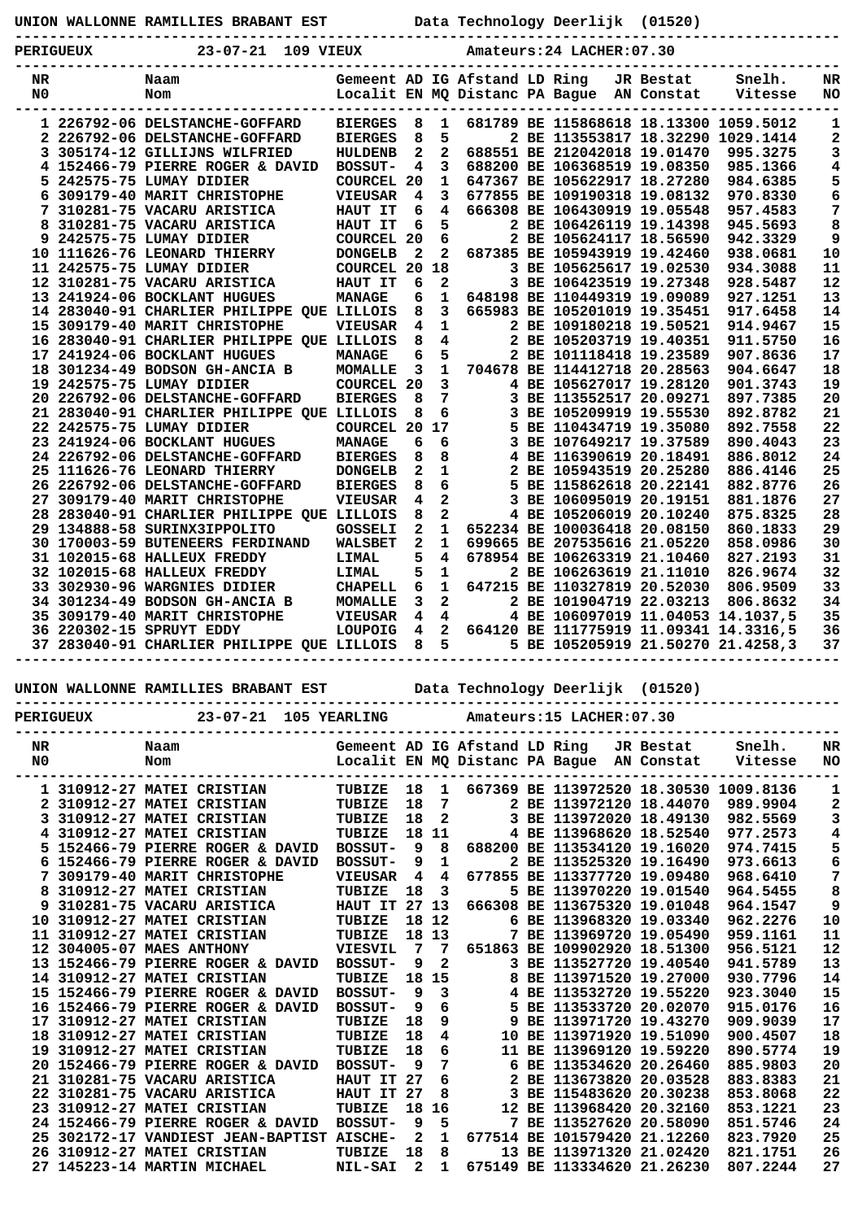| Data Technology Deerlijk (01520)<br>UNION WALLONNE RAMILLIES BRABANT EST |           |                                  |                            |              |              |                                                                            |  |  |  |                              |                                        |           |
|--------------------------------------------------------------------------|-----------|----------------------------------|----------------------------|--------------|--------------|----------------------------------------------------------------------------|--|--|--|------------------------------|----------------------------------------|-----------|
|                                                                          | PERIGUEUX | 23-07-21<br>109 VIEUX            | Amateurs: 24 LACHER: 07.30 |              |              |                                                                            |  |  |  |                              |                                        |           |
| NR<br>N0.                                                                |           | Naam<br>Nom                      |                            |              |              | Gemeent AD IG Afstand LD Ring<br>Localit EN MQ Distanc PA Baque AN Constat |  |  |  | JR Bestat                    | Snelh.<br>Vitesse                      | NR<br>NO. |
|                                                                          |           | 1 226792-06 DELSTANCHE-GOFFARD   | <b>BIERGES</b>             | 8            | 1.           |                                                                            |  |  |  |                              | 681789 BE 115868618 18.13300 1059.5012 |           |
|                                                                          |           | 2 226792-06 DELSTANCHE-GOFFARD   | <b>BIERGES</b>             | 8            | 5.           |                                                                            |  |  |  |                              | 2 BE 113553817 18.32290 1029.1414      | 2         |
|                                                                          |           | 3 305174-12 GILLIJNS WILFRIED    | HULDENB                    | $\mathbf{2}$ | 2            |                                                                            |  |  |  | 688551 BE 212042018 19.01470 | 995.3275                               | 3         |
|                                                                          |           | 4 152466-79 PIERRE ROGER & DAVID | <b>BOSSUT-</b>             | 4            | -3           |                                                                            |  |  |  | 688200 BE 106368519 19.08350 | 985.1366                               | 4         |
|                                                                          |           | 5 242575-75 LUMAY DIDIER         | <b>COURCEL 20</b>          |              | $\mathbf{1}$ |                                                                            |  |  |  | 647367 BE 105622917 18.27280 | 984.6385                               | 5         |
|                                                                          |           | 6 309179-40 MARIT CHRISTOPHE     | <b>VIEUSAR</b>             | 4            | З.           |                                                                            |  |  |  | 677855 BE 109190318 19.08132 | 970.8330                               | 6         |
|                                                                          |           | 7 310281-75 VACARU ARISTICA      | HAUT IT                    | 6            | 4            |                                                                            |  |  |  | 666308 BE 106430919 19.05548 | 957.4583                               | 7         |
|                                                                          |           | 8 310281-75 VACARU ARISTICA      | HAUT IT                    | 6            | 5.           |                                                                            |  |  |  | 2 BE 106426119 19.14398      | 945.5693                               | 8         |
|                                                                          |           | 9 242575-75 LUMAY DIDIER         | COURCEL 20 6               |              |              |                                                                            |  |  |  | 2 BE 105624117 18.56590      | 942.3329                               | 9         |
|                                                                          |           | 10 111626-76 LEONARD THIERRY     | <b>DONCRLB</b>             | 2            | 2.           |                                                                            |  |  |  | 687385 BF 105943919 19 42460 | 938 0681                               | 1 N       |

|   | 5 242575-75 LUMAY DIDIER                   | <b>COURCEL 20</b> |                         | 1              |  | 647367 BE 105622917 18.27280             | 984.6385 | 5  |
|---|--------------------------------------------|-------------------|-------------------------|----------------|--|------------------------------------------|----------|----|
|   | 6 309179-40 MARIT CHRISTOPHE               | <b>VIEUSAR</b>    | 4                       | $\mathbf{3}$   |  | 677855 BE 109190318 19.08132             | 970.8330 | 6  |
| 7 | 310281-75 VACARU ARISTICA                  | HAUT IT           | 6                       | $\overline{4}$ |  | 666308 BE 106430919 19.05548             | 957.4583 | 7  |
| 8 | 310281-75 VACARU ARISTICA                  | HAUT IT           | 6                       | 5              |  | 2 BE 106426119 19.14398                  | 945.5693 | 8  |
| 9 | 242575-75 LUMAY DIDIER                     | <b>COURCEL 20</b> |                         | 6              |  | 2 BE 105624117 18.56590                  | 942.3329 | 9  |
|   | 10 111626-76 LEONARD THIERRY               | <b>DONGELB</b>    | $\mathbf{2}$            | $\overline{2}$ |  | 687385 BE 105943919 19.42460             | 938.0681 | 10 |
|   | 11 242575-75 LUMAY DIDIER                  | <b>COURCEL 20</b> |                         | 18             |  | 3 BE 105625617 19.02530                  | 934.3088 | 11 |
|   | 12 310281-75 VACARU ARISTICA               | HAUT IT           | 6                       | $\mathbf{2}$   |  | 3 BE 106423519 19.27348                  | 928.5487 | 12 |
|   | 13 241924-06 BOCKLANT HUGUES               | <b>MANAGE</b>     | 6                       |                |  | 1 648198 BE 110449319 19.09089           | 927.1251 | 13 |
|   | 14 283040-91 CHARLIER PHILIPPE OUE LILLOIS |                   | 8                       | $\mathbf{3}$   |  | 665983 BE 105201019 19.35451             | 917.6458 | 14 |
|   | 15 309179-40 MARIT CHRISTOPHE              | VIEUSAR           | 4                       | $\mathbf{1}$   |  | 2 BE 109180218 19.50521                  | 914.9467 | 15 |
|   | 16 283040-91 CHARLIER PHILIPPE OUE LILLOIS |                   | 8                       | 4              |  | 2 BE 105203719 19.40351                  | 911.5750 | 16 |
|   | 17 241924-06 BOCKLANT HUGUES               | MANAGE            | 6                       | 5              |  | 2 BE 101118418 19.23589                  | 907.8636 | 17 |
|   | 18 301234-49 BODSON GH-ANCIA B             | <b>MOMALLE</b>    | $\overline{\mathbf{3}}$ | $\mathbf{1}$   |  | 704678 BE 114412718 20.28563             | 904.6647 | 18 |
|   | 19 242575-75 LUMAY DIDIER                  | COURCEL 20        |                         | 3              |  | 4 BE 105627017 19.28120                  | 901.3743 | 19 |
|   | 20 226792-06 DELSTANCHE-GOFFARD            | <b>BIERGES</b>    | 8                       | 7              |  | 3 BE 113552517 20.09271                  | 897.7385 | 20 |
|   | 21 283040-91 CHARLIER PHILIPPE OUE LILLOIS |                   | 8                       | 6              |  | BE 105209919 19.55530                    | 892.8782 | 21 |
|   | 22 242575-75 LUMAY DIDIER                  | <b>COURCEL 20</b> |                         | 17             |  | 5 BE 110434719 19.35080                  | 892.7558 | 22 |
|   | 23 241924-06 BOCKLANT HUGUES               | MANAGE            | 6                       | 6              |  | 3 BE 107649217 19.37589                  | 890.4043 | 23 |
|   | 24 226792-06 DELSTANCHE-GOFFARD            | <b>BIERGES</b>    | 8                       | 8              |  | 4 BE 116390619 20.18491                  | 886.8012 | 24 |
|   | 25 111626-76 LEONARD THIERRY               | <b>DONGELB</b>    | $\mathbf{2}$            | $\mathbf{1}$   |  | 2 BE 105943519 20.25280                  | 886.4146 | 25 |
|   | 26 226792-06 DELSTANCHE-GOFFARD            | <b>BIERGES</b>    | 8                       | 6              |  | 5 BE 115862618 20.22141                  | 882.8776 | 26 |
|   | 27 309179-40 MARIT CHRISTOPHE              | VIEUSAR           | 4                       | $\overline{a}$ |  | 3 BE 106095019 20.19151                  | 881.1876 | 27 |
|   | 28 283040-91 CHARLIER PHILIPPE QUE LILLOIS |                   | 8                       | $\mathbf{2}$   |  | 4 BE 105206019 20.10240                  | 875.8325 | 28 |
|   | 29 134888-58 SURINX3IPPOLITO               | <b>GOSSELI</b>    | $\overline{2}$          | $\mathbf{1}$   |  | 652234 BE 100036418 20.08150             | 860.1833 | 29 |
|   | 30 170003-59 BUTENEERS FERDINAND           | <b>WALSBET</b>    | $\mathbf{2}$            | $\mathbf{1}$   |  | 699665 BE 207535616 21.05220             | 858.0986 | 30 |
|   | 31 102015-68 HALLEUX FREDDY                | LIMAL             | 5                       | $\overline{4}$ |  | 678954 BE 106263319 21.10460             | 827.2193 | 31 |
|   | 32 102015-68 HALLEUX FREDDY                | LIMAL             | 5                       | $\mathbf{1}$   |  | 2 BE 106263619 21.11010                  | 826.9674 | 32 |
|   | 33 302930-96 WARGNIES DIDIER               | <b>CHAPELL</b>    | 6                       | $\mathbf{1}$   |  | 647215 BE 110327819 20.52030             | 806.9509 | 33 |
|   | 34 301234-49 BODSON GH-ANCIA B             | MOMALLE           | 3                       | $\overline{2}$ |  | 2 BE 101904719 22.03213                  | 806.8632 | 34 |
|   | 35 309179-40 MARIT CHRISTOPHE              | VIEUSAR           | 4                       | 4              |  | 4 BE 106097019 11.04053 14.1037,5        |          | 35 |
|   | 36 220302-15 SPRUYT EDDY                   | LOUPOIG           | 4                       |                |  | 2 664120 BE 111775919 11.09341 14.3316,5 |          | 36 |
|   | 37 283040-91 CHARLIER PHILIPPE QUE LILLOIS |                   | 8                       | 5              |  | 5 BE 105205919 21.50270 21.4258,3        |          | 37 |
|   |                                            |                   |                         |                |  |                                          |          |    |

**UNION WALLONNE RAMILLIES BRABANT EST Data Technology Deerlijk (01520)**

|                      | <b>PERIGUEUX</b>                  |             |  | 23-07-21 105 YEARLING |              | Amateurs: 15 LACHER: 07.30 |                                                                 |  |                              |                         |                                        |                  |  |  |  |
|----------------------|-----------------------------------|-------------|--|-----------------------|--------------|----------------------------|-----------------------------------------------------------------|--|------------------------------|-------------------------|----------------------------------------|------------------|--|--|--|
| NR<br>N <sub>0</sub> |                                   | Naam<br>Nom |  |                       |              |                            | Gemeent AD IG Afstand LD Ring<br>Localit EN MQ Distanc PA Bague |  |                              | JR Bestat<br>AN Constat | Snelh.<br>Vitesse                      | NR.<br><b>NO</b> |  |  |  |
|                      |                                   |             |  |                       |              |                            |                                                                 |  |                              |                         |                                        |                  |  |  |  |
|                      | 1 310912-27 MATEI CRISTIAN        |             |  | TUBIZE                | 18           | 1                          |                                                                 |  |                              |                         | 667369 BE 113972520 18.30530 1009.8136 | 1                |  |  |  |
|                      | 310912-27 MATEI CRISTIAN          |             |  | TUBIZE                | 18           | 7                          |                                                                 |  | 2 BE 113972120 18.44070      |                         | 989.9904                               | 2                |  |  |  |
|                      | 310912-27 MATEI CRISTIAN          |             |  | TUBIZE                | 18           | $\mathbf{2}$               |                                                                 |  | 3 BE 113972020 18.49130      |                         | 982.5569                               | 3                |  |  |  |
| 4                    | 310912-27 MATEI CRISTIAN          |             |  | TUBIZE                | 18           | 11                         |                                                                 |  | 4 BE 113968620 18.52540      |                         | 977.2573                               | 4                |  |  |  |
| 5.                   | 152466-79 PIERRE ROGER & DAVID    |             |  | <b>BOSSUT-</b>        | 9            | 8                          |                                                                 |  | 688200 BE 113534120 19.16020 |                         | 974.7415                               | 5                |  |  |  |
|                      | 152466-79 PIERRE ROGER & DAVID    |             |  | <b>BOSSUT-</b>        | 9            | 1                          |                                                                 |  | 2 BE 113525320 19.16490      |                         | 973.6613                               | 6                |  |  |  |
|                      | 309179-40 MARIT CHRISTOPHE        |             |  | <b>VIEUSAR</b>        | 4            | 4                          |                                                                 |  | 677855 BE 113377720 19.09480 |                         | 968.6410                               | 7                |  |  |  |
|                      | 310912-27 MATEI CRISTIAN          |             |  | TUBIZE                | 18           | 3                          |                                                                 |  | 5 BE 113970220 19.01540      |                         | 964.5455                               | 8                |  |  |  |
| 9                    | 310281-75 VACARU ARISTICA         |             |  | <b>HAUT IT 27 13</b>  |              |                            |                                                                 |  | 666308 BE 113675320 19.01048 |                         | 964.1547                               | 9                |  |  |  |
| 10                   | 310912-27 MATEI CRISTIAN          |             |  | TUBIZE                | 18           | 12                         |                                                                 |  | 6 BE 113968320 19.03340      |                         | 962.2276                               | 10               |  |  |  |
| 11                   | 310912-27 MATEI CRISTIAN          |             |  | TUBIZE                |              | 18 13                      | 7                                                               |  | BE 113969720 19.05490        |                         | 959.1161                               | 11               |  |  |  |
| $12^{\circ}$         | 304005-07 MAES ANTHONY            |             |  | <b>VIESVIL</b>        | 7            | 7                          |                                                                 |  | 651863 BE 109902920 18.51300 |                         | 956.5121                               | 12               |  |  |  |
|                      | 13 152466-79 PIERRE ROGER & DAVID |             |  | <b>BOSSUT-</b>        | 9            | $\mathbf{z}$               |                                                                 |  | 3 BE 113527720 19.40540      |                         | 941.5789                               | 13               |  |  |  |
|                      | 14 310912-27 MATEI CRISTIAN       |             |  | TUBIZE                | 18           | 15                         |                                                                 |  | BE 113971520 19.27000        |                         | 930.7796                               | 14               |  |  |  |
|                      | 15 152466-79 PIERRE ROGER & DAVID |             |  | <b>BOSSUT-</b>        | 9            | 3                          |                                                                 |  | 4 BE 113532720 19.55220      |                         | 923.3040                               | 15               |  |  |  |
|                      | 16 152466-79 PIERRE ROGER & DAVID |             |  | <b>BOSSUT-</b>        | 9            | 6                          | 5.                                                              |  | BE 113533720 20.02070        |                         | 915.0176                               | 16               |  |  |  |
| 17                   | 310912-27 MATEI CRISTIAN          |             |  | TUBIZE                | 18           | 9                          | 9                                                               |  | BE 113971720 19.43270        |                         | 909.9039                               | 17               |  |  |  |
|                      | 18 310912-27 MATEI CRISTIAN       |             |  | TUBIZE                | 18           | 4                          | 10                                                              |  | BE 113971920 19.51090        |                         | 900.4507                               | 18               |  |  |  |
| 19                   | 310912-27 MATEI CRISTIAN          |             |  | TUBIZE                | 18           | 6                          |                                                                 |  | 11 BE 113969120 19.59220     |                         | 890.5774                               | 19               |  |  |  |
|                      | 20 152466-79 PIERRE ROGER & DAVID |             |  | <b>BOSSUT-</b>        | 9            | 7                          |                                                                 |  | 6 BE 113534620 20.26460      |                         | 885.9803                               | 20               |  |  |  |
| 21                   | 310281-75 VACARU ARISTICA         |             |  | HAUT IT               | 27           | 6                          |                                                                 |  | BE 113673820 20.03528        |                         | 883.8383                               | 21               |  |  |  |
| 22 <sub>2</sub>      | 310281-75 VACARU ARISTICA         |             |  | HAUT IT               | -27          | 8                          |                                                                 |  | BE 115483620 20.30238        |                         | 853.8068                               | 22               |  |  |  |
| 23                   | 310912-27 MATEI CRISTIAN          |             |  | TUBIZE                | 18           | 16                         | 12                                                              |  | BE 113968420 20.32160        |                         | 853.1221                               | 23               |  |  |  |
|                      | 24 152466-79 PIERRE ROGER & DAVID |             |  | <b>BOSSUT-</b>        | 9            | 5                          |                                                                 |  | 7 BE 113527620 20.58090      |                         | 851.5746                               | 24               |  |  |  |
| 25                   | 302172-17 VANDIEST JEAN-BAPTIST   |             |  | <b>AISCHE-</b>        | $\mathbf{z}$ | 1                          |                                                                 |  | 677514 BE 101579420 21.12260 |                         | 823.7920                               | 25               |  |  |  |
| 26                   | 310912-27 MATEI CRISTIAN          |             |  | TUBIZE                | 18           | 8                          |                                                                 |  | 13 BE 113971320 21.02420     |                         | 821.1751                               | 26               |  |  |  |
|                      | 27 145223-14 MARTIN MICHAEL       |             |  | <b>NIL-SAI</b>        | $\mathbf{z}$ | 1                          |                                                                 |  | 675149 BE 113334620 21.26230 |                         | 807.2244                               | 27               |  |  |  |